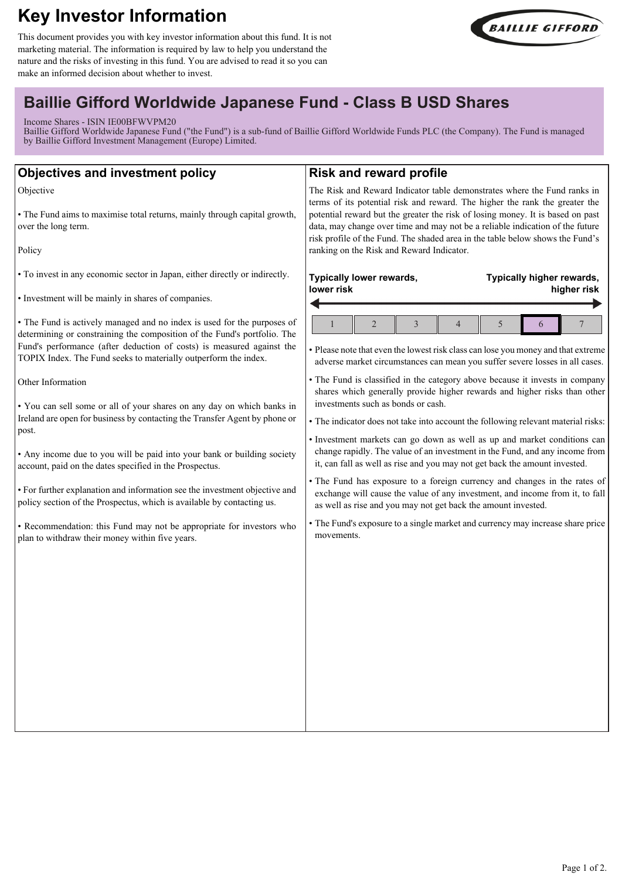# **Key Investor Information**

This document provides you with key investor information about this fund. It is not marketing material. The information is required by law to help you understand the nature and the risks of investing in this fund. You are advised to read it so you can make an informed decision about whether to invest.



# **Baillie Gifford Worldwide Japanese Fund - Class B USD Shares**

Income Shares - ISIN IE00BFWVPM20

Baillie Gifford Worldwide Japanese Fund ("the Fund") is a sub-fund of Baillie Gifford Worldwide Funds PLC (the Company). The Fund is managed by Baillie Gifford Investment Management (Europe) Limited.

| <b>Objectives and investment policy</b>                                                                                                                                                                                                                                                                                                                                                                                                                                                                                                                                                                                                                                                                                                                                                                                                                                                                        | <b>Risk and reward profile</b>                                                                                                                                                                                                                                                                                                                                                                                                                                                                                                                                                                                                                                                                                                                                                                                                                                                                                                                                                                                                                                                           |
|----------------------------------------------------------------------------------------------------------------------------------------------------------------------------------------------------------------------------------------------------------------------------------------------------------------------------------------------------------------------------------------------------------------------------------------------------------------------------------------------------------------------------------------------------------------------------------------------------------------------------------------------------------------------------------------------------------------------------------------------------------------------------------------------------------------------------------------------------------------------------------------------------------------|------------------------------------------------------------------------------------------------------------------------------------------------------------------------------------------------------------------------------------------------------------------------------------------------------------------------------------------------------------------------------------------------------------------------------------------------------------------------------------------------------------------------------------------------------------------------------------------------------------------------------------------------------------------------------------------------------------------------------------------------------------------------------------------------------------------------------------------------------------------------------------------------------------------------------------------------------------------------------------------------------------------------------------------------------------------------------------------|
| Objective<br>• The Fund aims to maximise total returns, mainly through capital growth,<br>over the long term.                                                                                                                                                                                                                                                                                                                                                                                                                                                                                                                                                                                                                                                                                                                                                                                                  | The Risk and Reward Indicator table demonstrates where the Fund ranks in<br>terms of its potential risk and reward. The higher the rank the greater the<br>potential reward but the greater the risk of losing money. It is based on past<br>data, may change over time and may not be a reliable indication of the future                                                                                                                                                                                                                                                                                                                                                                                                                                                                                                                                                                                                                                                                                                                                                               |
| Policy                                                                                                                                                                                                                                                                                                                                                                                                                                                                                                                                                                                                                                                                                                                                                                                                                                                                                                         | risk profile of the Fund. The shaded area in the table below shows the Fund's<br>ranking on the Risk and Reward Indicator.                                                                                                                                                                                                                                                                                                                                                                                                                                                                                                                                                                                                                                                                                                                                                                                                                                                                                                                                                               |
| • To invest in any economic sector in Japan, either directly or indirectly.<br>• Investment will be mainly in shares of companies.                                                                                                                                                                                                                                                                                                                                                                                                                                                                                                                                                                                                                                                                                                                                                                             | Typically lower rewards,<br>Typically higher rewards,<br>lower risk<br>higher risk                                                                                                                                                                                                                                                                                                                                                                                                                                                                                                                                                                                                                                                                                                                                                                                                                                                                                                                                                                                                       |
| • The Fund is actively managed and no index is used for the purposes of<br>determining or constraining the composition of the Fund's portfolio. The<br>Fund's performance (after deduction of costs) is measured against the<br>TOPIX Index. The Fund seeks to materially outperform the index.<br>Other Information<br>. You can sell some or all of your shares on any day on which banks in<br>Ireland are open for business by contacting the Transfer Agent by phone or<br>post.<br>• Any income due to you will be paid into your bank or building society<br>account, paid on the dates specified in the Prospectus.<br>• For further explanation and information see the investment objective and<br>policy section of the Prospectus, which is available by contacting us.<br>· Recommendation: this Fund may not be appropriate for investors who<br>plan to withdraw their money within five years. | $\overline{2}$<br>5<br>3<br>$\overline{4}$<br>7<br>6<br>• Please note that even the lowest risk class can lose you money and that extreme<br>adverse market circumstances can mean you suffer severe losses in all cases.<br>• The Fund is classified in the category above because it invests in company<br>shares which generally provide higher rewards and higher risks than other<br>investments such as bonds or cash.<br>• The indicator does not take into account the following relevant material risks:<br>· Investment markets can go down as well as up and market conditions can<br>change rapidly. The value of an investment in the Fund, and any income from<br>it, can fall as well as rise and you may not get back the amount invested.<br>• The Fund has exposure to a foreign currency and changes in the rates of<br>exchange will cause the value of any investment, and income from it, to fall<br>as well as rise and you may not get back the amount invested.<br>• The Fund's exposure to a single market and currency may increase share price<br>movements. |
|                                                                                                                                                                                                                                                                                                                                                                                                                                                                                                                                                                                                                                                                                                                                                                                                                                                                                                                |                                                                                                                                                                                                                                                                                                                                                                                                                                                                                                                                                                                                                                                                                                                                                                                                                                                                                                                                                                                                                                                                                          |
|                                                                                                                                                                                                                                                                                                                                                                                                                                                                                                                                                                                                                                                                                                                                                                                                                                                                                                                |                                                                                                                                                                                                                                                                                                                                                                                                                                                                                                                                                                                                                                                                                                                                                                                                                                                                                                                                                                                                                                                                                          |